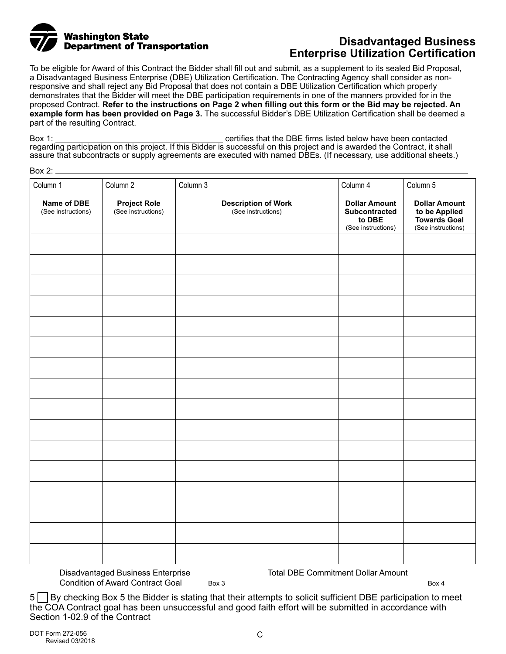

# **Enterprise Utilization Certification**

To be eligible for Award of this Contract the Bidder shall fill out and submit, as a supplement to its sealed Bid Proposal, a Disadvantaged Business Enterprise (DBE) Utilization Certification. The Contracting Agency shall consider as nonresponsive and shall reject any Bid Proposal that does not contain a DBE Utilization Certification which properly demonstrates that the Bidder will meet the DBE participation requirements in one of the manners provided for in the proposed Contract. **Refer to the instructions on Page 2 when filling out this form or the Bid may be rejected. An example form has been provided on Page 3.** The successful Bidder's DBE Utilization Certification shall be deemed a part of the resulting Contract.

Box 1: Certifies that the DBE firms listed below have been contacted below have been contacted regarding participation on this project. If this Bidder is successful on this project and is awarded the Contract, it shall assure that subcontracts or supply agreements are executed with named DBEs. (If necessary, use additional sheets.)

 $Box 2$ 

| Column 1                          | Column 2                                  | Column 3                                         | Column 4                                                              | Column 5                                                                    |
|-----------------------------------|-------------------------------------------|--------------------------------------------------|-----------------------------------------------------------------------|-----------------------------------------------------------------------------|
| Name of DBE<br>(See instructions) | <b>Project Role</b><br>(See instructions) | <b>Description of Work</b><br>(See instructions) | <b>Dollar Amount</b><br>Subcontracted<br>to DBE<br>(See instructions) | <b>Dollar Amount</b><br>to be Applied<br>Towards Goal<br>(See instructions) |
|                                   |                                           |                                                  |                                                                       |                                                                             |
|                                   |                                           |                                                  |                                                                       |                                                                             |
|                                   |                                           |                                                  |                                                                       |                                                                             |
|                                   |                                           |                                                  |                                                                       |                                                                             |
|                                   |                                           |                                                  |                                                                       |                                                                             |
|                                   |                                           |                                                  |                                                                       |                                                                             |
|                                   |                                           |                                                  |                                                                       |                                                                             |
|                                   |                                           |                                                  |                                                                       |                                                                             |
|                                   |                                           |                                                  |                                                                       |                                                                             |
|                                   |                                           |                                                  |                                                                       |                                                                             |
|                                   |                                           |                                                  |                                                                       |                                                                             |
|                                   |                                           |                                                  |                                                                       |                                                                             |
|                                   |                                           |                                                  |                                                                       |                                                                             |
|                                   |                                           |                                                  |                                                                       |                                                                             |
|                                   |                                           |                                                  |                                                                       |                                                                             |
|                                   |                                           |                                                  |                                                                       |                                                                             |

Disadvantaged Business Enterprise Condition of Award Contract Goal Box 3 Total DBE Commitment Dollar Amount

Box 4

5 | By checking Box 5 the Bidder is stating that their attempts to solicit sufficient DBE participation to meet the COA Contract goal has been unsuccessful and good faith effort will be submitted in accordance with Section 1-02.9 of the Contract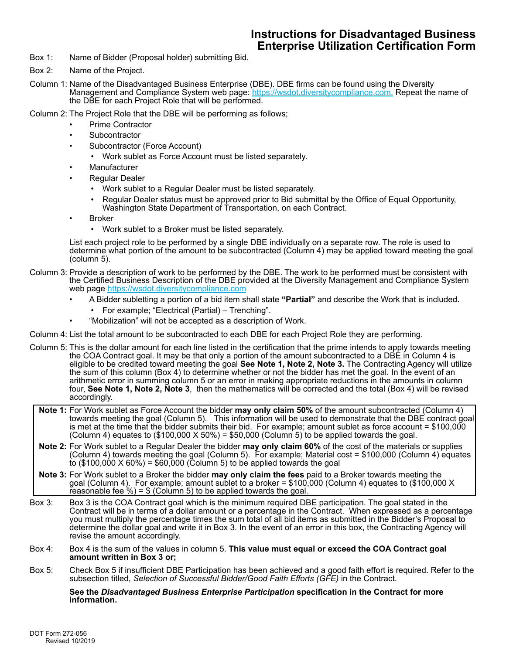## **Instructions for Disadvantaged Business Enterprise Utilization Certification Form**

- Box 1: Name of Bidder (Proposal holder) submitting Bid.
- Box 2: Name of the Project.
- Column 1: Name of the Disadvantaged Business Enterprise (DBE). DBE firms can be found using the Diversity Management and Compliance System web page: [https://wsdot.diversitycompliance.com.](https://wsdot.diversitycompliance.com) Repeat the name of the DBE for each Project Role that will be performed.

Column 2: The Project Role that the DBE will be performing as follows;

- Prime Contractor
- **Subcontractor**
- Subcontractor (Force Account)
	- Work sublet as Force Account must be listed separately.
- **Manufacturer**
- Regular Dealer
	- Work sublet to a Regular Dealer must be listed separately.
	- Regular Dealer status must be approved prior to Bid submittal by the Office of Equal Opportunity, Washington State Department of Transportation, on each Contract.
- **Broker** 
	- Work sublet to a Broker must be listed separately.

List each project role to be performed by a single DBE individually on a separate row. The role is used to determine what portion of the amount to be subcontracted (Column 4) may be applied toward meeting the goal (column 5).

- Column 3: Provide a description of work to be performed by the DBE. The work to be performed must be consistent with the Certified Business Description of the DBE provided at the Diversity Management and Compliance System web page<https://wsdot.diversitycompliance.com>
	- A Bidder subletting a portion of a bid item shall state **"Partial"** and describe the Work that is included.
		- For example; "Electrical (Partial) Trenching".
	- "Mobilization" will not be accepted as a description of Work.
- Column 4: List the total amount to be subcontracted to each DBE for each Project Role they are performing.
- Column 5: This is the dollar amount for each line listed in the certification that the prime intends to apply towards meeting the COA Contract goal. It may be that only a portion of the amount subcontracted to a DBE in Column 4 is eligible to be credited toward meeting the goal **See Note 1, Note 2, Note 3.** The Contracting Agency will utilize the sum of this column (Box 4) to determine whether or not the bidder has met the goal. In the event of an arithmetic error in summing column 5 or an error in making appropriate reductions in the amounts in column four, **See Note 1, Note 2, Note 3**, then the mathematics will be corrected and the total (Box 4) will be revised accordingly.
	- **Note 1:** For Work sublet as Force Account the bidder **may only claim 50%** of the amount subcontracted (Column 4) towards meeting the goal (Column 5). This information will be used to demonstrate that the DBE contract goal is met at the time that the bidder submits their bid. For example; amount sublet as force account = \$100,000 (Column 4) equates to (\$100,000 X 50%) = \$50,000 (Column 5) to be applied towards the goal.
	- **Note 2:** For Work sublet to a Regular Dealer the bidder **may only claim 60%** of the cost of the materials or supplies (Column 4) towards meeting the goal (Column 5). For example; Material cost = \$100,000 (Column 4) equates to (\$100,000 X 60%) = \$60,000 (Column 5) to be applied towards the goal
- **Note 3:** For Work sublet to a Broker the bidder **may only claim the fees** paid to a Broker towards meeting the goal (Column 4). For example; amount sublet to a broker = \$100,000 (Column 4) equates to (\$100,000 X reasonable fee  $\frac{6}{5}$  = \$ (Column 5) to be applied towards the goal
- Box 3: Box 3 is the COA Contract goal which is the minimum required DBE participation. The goal stated in the Contract will be in terms of a dollar amount or a percentage in the Contract. When expressed as a percentage you must multiply the percentage times the sum total of all bid items as submitted in the Bidder's Proposal to determine the dollar goal and write it in Box 3. In the event of an error in this box, the Contracting Agency will revise the amount accordingly.
- Box 4: Box 4 is the sum of the values in column 5. **This value must equal or exceed the COA Contract goal amount written in Box 3 or;**
- Box 5: Check Box 5 if insufficient DBE Participation has been achieved and a good faith effort is required. Refer to the subsection titled, *Selection of Successful Bidder/Good Faith Efforts (GFE)* in the Contract.

#### **See the** *Disadvantaged Business Enterprise Participation* **specification in the Contract for more information.**